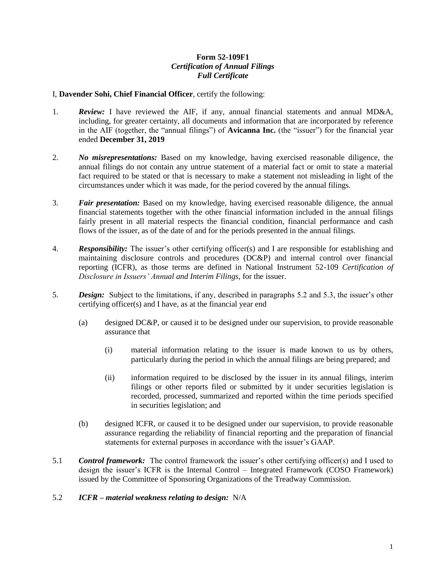## **Form 52-109F1** *Certification of Annual Filings Full Certificate*

## I, **Davender Sohi, Chief Financial Officer**, certify the following:

- 1. *Review:* I have reviewed the AIF, if any, annual financial statements and annual MD&A, including, for greater certainty, all documents and information that are incorporated by reference in the AIF (together, the "annual filings") of **Avicanna Inc.** (the "issuer") for the financial year ended **December 31, 2019**
- 2. *No misrepresentations:* Based on my knowledge, having exercised reasonable diligence, the annual filings do not contain any untrue statement of a material fact or omit to state a material fact required to be stated or that is necessary to make a statement not misleading in light of the circumstances under which it was made, for the period covered by the annual filings.
- 3. *Fair presentation:* Based on my knowledge, having exercised reasonable diligence, the annual financial statements together with the other financial information included in the annual filings fairly present in all material respects the financial condition, financial performance and cash flows of the issuer, as of the date of and for the periods presented in the annual filings.
- 4. *Responsibility:* The issuer's other certifying officer(s) and I are responsible for establishing and maintaining disclosure controls and procedures (DC&P) and internal control over financial reporting (ICFR), as those terms are defined in National Instrument 52-109 *Certification of Disclosure in Issuers' Annual and Interim Filings*, for the issuer.
- 5. *Design:* Subject to the limitations, if any, described in paragraphs 5.2 and 5.3, the issuer's other certifying officer(s) and I have, as at the financial year end
	- (a) designed DC&P, or caused it to be designed under our supervision, to provide reasonable assurance that
		- (i) material information relating to the issuer is made known to us by others, particularly during the period in which the annual filings are being prepared; and
		- (ii) information required to be disclosed by the issuer in its annual filings, interim filings or other reports filed or submitted by it under securities legislation is recorded, processed, summarized and reported within the time periods specified in securities legislation; and
	- (b) designed ICFR, or caused it to be designed under our supervision, to provide reasonable assurance regarding the reliability of financial reporting and the preparation of financial statements for external purposes in accordance with the issuer's GAAP.
- 5.1 *Control framework:* The control framework the issuer's other certifying officer(s) and I used to design the issuer's ICFR is the Internal Control – Integrated Framework (COSO Framework) issued by the Committee of Sponsoring Organizations of the Treadway Commission.

## 5.2 *ICFR – material weakness relating to design:* N/A